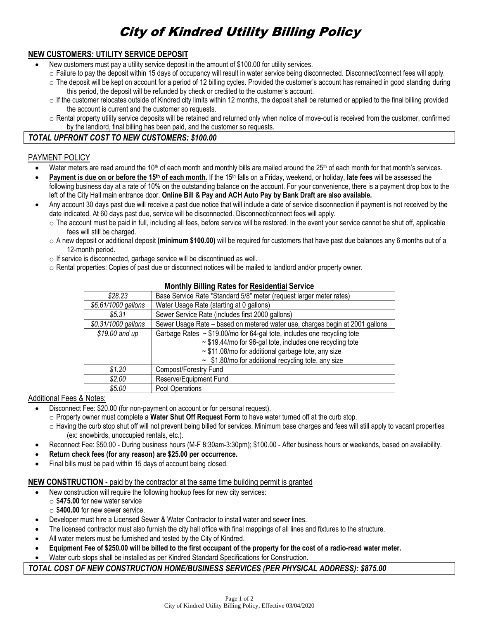# City of Kindred Utility Billing Policy

# **NEW CUSTOMERS: UTILITY SERVICE DEPOSIT**

- New customers must pay a utility service deposit in the amount of \$100.00 for utility services.
	- o Failure to pay the deposit within 15 days of occupancy will result in water service being disconnected. Disconnect/connect fees will apply.
	- $\circ$  The deposit will be kept on account for a period of 12 billing cycles. Provided the customer's account has remained in good standing during this period, the deposit will be refunded by check or credited to the customer's account.
	- $\circ$  If the customer relocates outside of Kindred city limits within 12 months, the deposit shall be returned or applied to the final billing provided the account is current and the customer so requests.
	- o Rental property utility service deposits will be retained and returned only when notice of move-out is received from the customer, confirmed by the landlord, final billing has been paid, and the customer so requests.

# *TOTAL UPFRONT COST TO NEW CUSTOMERS: \$100.00*

# PAYMENT POLICY

- Water meters are read around the  $10<sup>th</sup>$  of each month and monthly bills are mailed around the  $25<sup>th</sup>$  of each month for that month's services.
- **Payment is due on or before the 15<sup>th</sup> of each month.** If the 15<sup>th</sup> falls on a Friday, weekend, or holiday, late fees will be assessed the following business day at a rate of 10% on the outstanding balance on the account. For your convenience, there is a payment drop box to the left of the City Hall main entrance door. **Online Bill & Pay and ACH Auto Pay by Bank Draft are also available.**
- Any account 30 days past due will receive a past due notice that will include a date of service disconnection if payment is not received by the date indicated. At 60 days past due, service will be disconnected. Disconnect/connect fees will apply.
	- $\circ$  The account must be paid in full, including all fees, before service will be restored. In the event your service cannot be shut off, applicable fees will still be charged.
	- o A new deposit or additional deposit **(minimum \$100.00)** will be required for customers that have past due balances any 6 months out of a 12-month period.
	- o If service is disconnected, garbage service will be discontinued as well.
	- o Rental properties: Copies of past due or disconnect notices will be mailed to landlord and/or property owner.

| <b>MORTALITY DIMINIQ RAIGO TOF ROOMONIGAL OUTFIGO</b> |                                                                              |  |
|-------------------------------------------------------|------------------------------------------------------------------------------|--|
| \$28.23                                               | Base Service Rate *Standard 5/8" meter (request larger meter rates)          |  |
| \$6.61/1000 gallons                                   | Water Usage Rate (starting at 0 gallons)                                     |  |
| \$5.31                                                | Sewer Service Rate (includes first 2000 gallons)                             |  |
| \$0.31/1000 gallons                                   | Sewer Usage Rate - based on metered water use, charges begin at 2001 gallons |  |
| \$19.00 and up                                        | Garbage Rates $\sim$ \$19.00/mo for 64-gal tote, includes one recycling tote |  |
|                                                       | ~ \$19.44/mo for 96-gal tote, includes one recycling tote                    |  |
|                                                       | $\sim$ \$11.08/mo for additional garbage tote, any size                      |  |
|                                                       | $\sim$ \$1.80/mo for additional recycling tote, any size                     |  |
| \$1.20                                                | Compost/Forestry Fund                                                        |  |
| \$2.00                                                | Reserve/Equipment Fund                                                       |  |
| \$5.00                                                | Pool Operations                                                              |  |

## **Monthly Billing Rates for Residential Service**

## Additional Fees & Notes:

- Disconnect Fee: \$20.00 (for non-payment on account or for personal request).
	- o Property owner must complete a **Water Shut Off Request Form** to have water turned off at the curb stop.
	- o Having the curb stop shut off will not prevent being billed for services. Minimum base charges and fees will still apply to vacant properties (ex: snowbirds, unoccupied rentals, etc.).
- Reconnect Fee: \$50.00 During business hours (M-F 8:30am-3:30pm); \$100.00 After business hours or weekends, based on availability.
- **Return check fees (for any reason) are \$25.00 per occurrence.**
- Final bills must be paid within 15 days of account being closed.

## **NEW CONSTRUCTION** - paid by the contractor at the same time building permit is granted

- New construction will require the following hookup fees for new city services:
	- o **\$475.00** for new water service
	- o **\$400.00** for new sewer service.
- Developer must hire a Licensed Sewer & Water Contractor to install water and sewer lines.
- The licensed contractor must also furnish the city hall office with final mappings of all lines and fixtures to the structure.
- All water meters must be furnished and tested by the City of Kindred.
- **Equipment Fee of \$250.00 will be billed to the first occupant of the property for the cost of a radio-read water meter.**
- Water curb stops shall be installed as per Kindred Standard Specifications for Construction.

## *TOTAL COST OF NEW CONSTRUCTION HOME/BUSINESS SERVICES (PER PHYSICAL ADDRESS): \$875.00*